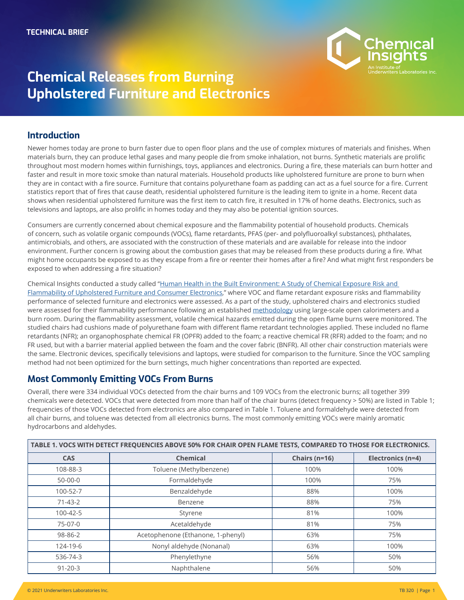

# **Chemical Releases from Burning Upholstered Furniture and Electronics**

#### **Introduction**

**Photo** shows when residential upholstered furniture was the first item to catch fire, it resulted in 17% of home deaths. Electronics, such as Newer homes today are prone to burn faster due to open floor plans and the use of complex mixtures of materials and finishes. When materials burn, they can produce lethal gases and many people die from smoke inhalation, not burns. Synthetic materials are prolific throughout most modern homes within furnishings, toys, appliances and electronics. During a fire, these materials can burn hotter and faster and result in more toxic smoke than natural materials. Household products like upholstered furniture are prone to burn when they are in contact with a fire source. Furniture that contains polyurethane foam as padding can act as a fuel source for a fire. Current statistics report that of fires that cause death, residential upholstered furniture is the leading item to ignite in a home. Recent data televisions and laptops, are also prolific in homes today and they may also be potential ignition sources.

Consumers are currently concerned about chemical exposure and the flammability potential of household products. Chemicals of concern, such as volatile organic compounds (VOCs), flame retardants, PFAS (per- and polyfluoroalkyl substances), phthalates, antimicrobials, and others, are associated with the construction of these materials and are available for release into the indoor environment. Further concern is growing about the combustion gases that may be released from these products during a fire. What might home occupants be exposed to as they escape from a fire or reenter their homes after a fire? And what might first responders be exposed to when addressing a fire situation?

Chemical Insights conducted a study called "Human Health in the Built Environment: A Study of Chemical Exposure Risk and [Flammability of Upholstered Furniture and Consumer Electronics,](https://chemicalinsights.org/wp-content/uploads/2019/04/Human-Health-in-the-Built-Environment_FINAL.pdf)" where VOC and flame retardant exposure risks and flammability performance of selected furniture and electronics were assessed. As a part of the study, upholstered chairs and electronics studied were assessed for their flammability performance following an established [methodology](https://chemicalinsights.org/wp-content/uploads/2019/04/FurnitureFlammability_FlameAnalysis.pdf) using large-scale open calorimeters and a burn room. During the flammability assessment, volatile chemical hazards emitted during the open flame burns were monitored. The studied chairs had cushions made of polyurethane foam with different flame retardant technologies applied. These included no flame retardants (NFR); an organophosphate chemical FR (OPFR) added to the foam; a reactive chemical FR (RFR) added to the foam; and no FR used, but with a barrier material applied between the foam and the cover fabric (BNFR). All other chair construction materials were the same. Electronic devices, specifically televisions and laptops, were studied for comparison to the furniture. Since the VOC sampling method had not been optimized for the burn settings, much higher concentrations than reported are expected.

#### **Most Commonly Emitting VOCs From Burns**

Overall, there were 334 individual VOCs detected from the chair burns and 109 VOCs from the electronic burns; all together 399 chemicals were detected. VOCs that were detected from more than half of the chair burns (detect frequency > 50%) are listed in Table 1; frequencies of those VOCs detected from electronics are also compared in Table 1. Toluene and formaldehyde were detected from all chair burns, and toluene was detected from all electronics burns. The most commonly emitting VOCs were mainly aromatic hydrocarbons and aldehydes.

| TABLE 1. VOCS WITH DETECT FREQUENCIES ABOVE 50% FOR CHAIR OPEN FLAME TESTS, COMPARED TO THOSE FOR ELECTRONICS. |                                   |                   |                   |  |
|----------------------------------------------------------------------------------------------------------------|-----------------------------------|-------------------|-------------------|--|
| <b>CAS</b>                                                                                                     | <b>Chemical</b>                   | Chairs ( $n=16$ ) | Electronics (n=4) |  |
| 108-88-3                                                                                                       | Toluene (Methylbenzene)           | 100%              | 100%              |  |
| $50 - 00 - 0$                                                                                                  | Formaldehyde                      | 100%              | 75%               |  |
| 100-52-7                                                                                                       | Benzaldehyde                      | 88%               | 100%              |  |
| $71-43-2$                                                                                                      | Benzene                           | 88%               | 75%               |  |
| 100-42-5                                                                                                       | Styrene                           | 81%               | 100%              |  |
| 75-07-0                                                                                                        | Acetaldehyde                      | 81%               | 75%               |  |
| 98-86-2                                                                                                        | Acetophenone (Ethanone, 1-phenyl) | 63%               | 75%               |  |
| 124-19-6                                                                                                       | Nonyl aldehyde (Nonanal)          | 63%               | 100%              |  |
| 536-74-3                                                                                                       | Phenylethyne                      | 56%               | 50%               |  |
| $91 - 20 - 3$                                                                                                  | Naphthalene                       | 56%               | 50%               |  |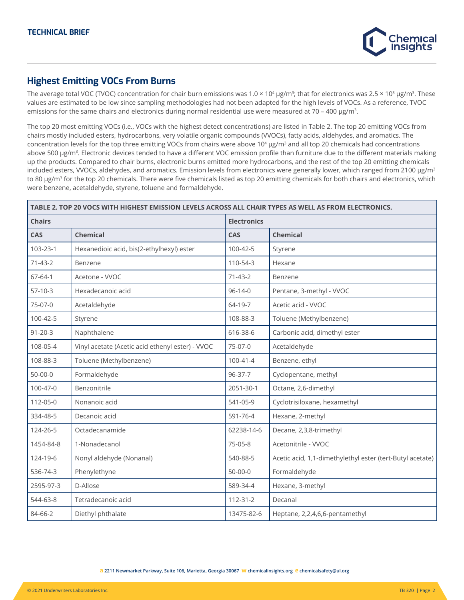

## **Highest Emitting VOCs From Burns**

The average total VOC (TVOC) concentration for chair burn emissions was  $1.0 \times 10^4$  µg/m<sup>3</sup>; that for electronics was  $2.5 \times 10^3$  µg/m<sup>3</sup>. These values are estimated to be low since sampling methodologies had not been adapted for the high levels of VOCs. As a reference, TVOC emissions for the same chairs and electronics during normal residential use were measured at 70 – 400 µg/m<sup>3</sup>.

The top 20 most emitting VOCs (i.e., VOCs with the highest detect concentrations) are listed in Table 2. The top 20 emitting VOCs from chairs mostly included esters, hydrocarbons, very volatile organic compounds (VVOCs), fatty acids, aldehydes, and aromatics. The concentration levels for the top three emitting VOCs from chairs were above 10<sup>4</sup> µg/m<sup>3</sup> and all top 20 chemicals had concentrations above 500 µg/m<sup>3</sup>. Electronic devices tended to have a different VOC emission profile than furniture due to the different materials making up the products. Compared to chair burns, electronic burns emitted more hydrocarbons, and the rest of the top 20 emitting chemicals included esters, VVOCs, aldehydes, and aromatics. Emission levels from electronics were generally lower, which ranged from 2100 µg/m<sup>3</sup> to 80 µg/m<sup>3</sup> for the top 20 chemicals. There were five chemicals listed as top 20 emitting chemicals for both chairs and electronics, which were benzene, acetaldehyde, styrene, toluene and formaldehyde.

| TABLE 2. TOP 20 VOCS WITH HIGHEST EMISSION LEVELS ACROSS ALL CHAIR TYPES AS WELL AS FROM ELECTRONICS. |                                                 |                    |                                                           |  |  |  |
|-------------------------------------------------------------------------------------------------------|-------------------------------------------------|--------------------|-----------------------------------------------------------|--|--|--|
| <b>Chairs</b>                                                                                         |                                                 | <b>Electronics</b> |                                                           |  |  |  |
| CAS                                                                                                   | <b>Chemical</b>                                 | CAS                | <b>Chemical</b>                                           |  |  |  |
| 103-23-1                                                                                              | Hexanedioic acid, bis(2-ethylhexyl) ester       | 100-42-5           | Styrene                                                   |  |  |  |
| $71 - 43 - 2$                                                                                         | Benzene                                         | 110-54-3           | Hexane                                                    |  |  |  |
| $67 - 64 - 1$                                                                                         | Acetone - VVOC                                  | $71-43-2$          | Benzene                                                   |  |  |  |
| $57-10-3$                                                                                             | Hexadecanoic acid                               | $96 - 14 - 0$      | Pentane, 3-methyl - VVOC                                  |  |  |  |
| 75-07-0                                                                                               | Acetaldehyde                                    | 64-19-7            | Acetic acid - VVOC                                        |  |  |  |
| 100-42-5                                                                                              | Styrene                                         | 108-88-3           | Toluene (Methylbenzene)                                   |  |  |  |
| $91 - 20 - 3$                                                                                         | Naphthalene                                     | 616-38-6           | Carbonic acid, dimethyl ester                             |  |  |  |
| 108-05-4                                                                                              | Vinyl acetate (Acetic acid ethenyl ester) - WOC | 75-07-0            | Acetaldehyde                                              |  |  |  |
| 108-88-3                                                                                              | Toluene (Methylbenzene)                         | $100 - 41 - 4$     | Benzene, ethyl                                            |  |  |  |
| $50 - 00 - 0$                                                                                         | Formaldehyde                                    | $96 - 37 - 7$      | Cyclopentane, methyl                                      |  |  |  |
| 100-47-0                                                                                              | Benzonitrile                                    | 2051-30-1          | Octane, 2,6-dimethyl                                      |  |  |  |
| 112-05-0                                                                                              | Nonanoic acid                                   | 541-05-9           | Cyclotrisiloxane, hexamethyl                              |  |  |  |
| 334-48-5                                                                                              | Decanoic acid                                   | 591-76-4           | Hexane, 2-methyl                                          |  |  |  |
| 124-26-5                                                                                              | Octadecanamide                                  | 62238-14-6         | Decane, 2,3,8-trimethyl                                   |  |  |  |
| 1454-84-8                                                                                             | 1-Nonadecanol                                   | 75-05-8            | Acetonitrile - VVOC                                       |  |  |  |
| 124-19-6                                                                                              | Nonyl aldehyde (Nonanal)                        | 540-88-5           | Acetic acid, 1,1-dimethylethyl ester (tert-Butyl acetate) |  |  |  |
| 536-74-3                                                                                              | Phenylethyne                                    | $50 - 00 - 0$      | Formaldehyde                                              |  |  |  |
| 2595-97-3                                                                                             | D-Allose                                        | 589-34-4           | Hexane, 3-methyl                                          |  |  |  |
| 544-63-8                                                                                              | Tetradecanoic acid                              | $112 - 31 - 2$     | Decanal                                                   |  |  |  |
| 84-66-2                                                                                               | Diethyl phthalate                               | 13475-82-6         | Heptane, 2,2,4,6,6-pentamethyl                            |  |  |  |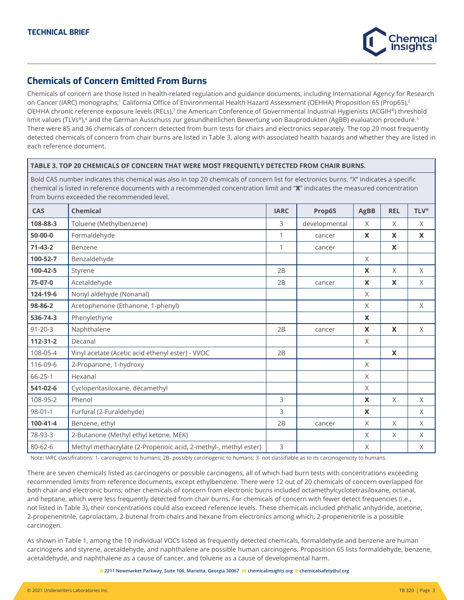

### **Chemicals of Concern Emitted From Burns**

Chemicals of concern are those listed in health-related regulation and guidance documents, including International Agency for Research on Cancer (IARC) monographs,<sup>1</sup> California Office of Environmental Health Hazard Assessment (OEHHA) Proposition 65 (Prop65),<sup>2</sup> OEHHA chronic reference exposure levels (RELs),<sup>3</sup> the American Conference of Governmental Industrial Hygienists (ACGIH®) threshold limit values (TLVs®),<sup>4</sup> and the German Ausschuss zur gesundheitlichen Bewertung von Bauprodukten (AgBB) evaluation procedure.<sup>5</sup> There were 85 and 36 chemicals of concern detected from burn tests for chairs and electronics separately. The top 20 most frequently detected chemicals of concern from chair burns are listed in Table 3, along with associated health hazards and whether they are listed in each reference document.

#### **TABLE 3. TOP 20 CHEMICALS OF CONCERN THAT WERE MOST FREQUENTLY DETECTED FROM CHAIR BURNS.**

Bold CAS number indicates this chemical was also in top 20 chemicals of concern list for electronics burns. "X" indicates a specific chemical is listed in reference documents with a recommended concentration limit and "**X**" indicates the measured concentration from burns exceeded the recommended level.

| CAS           | <b>Chemical</b>                                                 | <b>IARC</b> | Prop65        | <b>AgBB</b>  | <b>REL</b>   | <b>TLV®</b>  |
|---------------|-----------------------------------------------------------------|-------------|---------------|--------------|--------------|--------------|
| 108-88-3      | Toluene (Methylbenzene)                                         | 3           | developmental | X            | X            | X            |
| $50-00-0$     | Formaldehyde                                                    | 1           | cancer        | $\mathbf x$  | $\mathbf{x}$ | $\mathbf{x}$ |
| $71-43-2$     | Benzene                                                         | 1           | cancer        |              | $\mathbf{x}$ |              |
| 100-52-7      | Benzaldehyde                                                    |             |               | $\times$     |              |              |
| 100-42-5      | Styrene                                                         | 2B          |               | $\mathbf{x}$ | $\times$     | X            |
| 75-07-0       | Acetaldehyde                                                    | 2B          | cancer        | $\mathbf x$  | $\mathbf x$  | $\times$     |
| 124-19-6      | Nonyl aldehyde (Nonanal)                                        |             |               | X            |              |              |
| 98-86-2       | Acetophenone (Ethanone, 1-phenyl)                               |             |               | X            |              | $\times$     |
| 536-74-3      | Phenylethyne                                                    |             |               | X            |              |              |
| $91 - 20 - 3$ | Naphthalene                                                     | 2B          | cancer        | $\mathbf x$  | $\mathbf x$  | $\times$     |
| 112-31-2      | Decanal                                                         |             |               | X            |              |              |
| 108-05-4      | Vinyl acetate (Acetic acid ethenyl ester) - VVOC                | 2B          |               |              | $\mathbf x$  |              |
| 116-09-6      | 2-Propanone, 1-hydroxy                                          |             |               | X            |              |              |
| $66 - 25 - 1$ | Hexanal                                                         |             |               | X            |              |              |
| 541-02-6      | Cyclopentasiloxane, decamethyl                                  |             |               | X            |              |              |
| 108-95-2      | Phenol                                                          | 3           |               | X            | $\times$     | $\times$     |
| $98 - 01 - 1$ | Furfural (2-Furaldehyde)                                        | 3           |               | $\mathbf x$  |              | X            |
| 100-41-4      | Benzene, ethyl                                                  | 2B          | cancer        | $\times$     | $\times$     | X            |
| 78-93-3       | 2-Butanone (Methyl ethyl ketone, MEK)                           |             |               | X            | X            | X            |
| 80-62-6       | Methyl methacrylate (2-Propenoic acid, 2-methyl-, methyl ester) | 3           |               | X            |              | X            |

Note: IARC classifications: 1- carcinogenic to humans; 2B- possibly carcinogenic to humans; 3- not classifiable as to its carcinogenicity to humans.

There are seven chemicals listed as carcinogens or possible carcinogens, all of which had burn tests with concentrations exceeding recommended limits from reference documents, except ethylbenzene. There were 12 out of 20 chemicals of concern overlapped for both chair and electronic burns; other chemicals of concern from electronic burns included octamethylcyclotetrasiloxane, octanal, and heptane, which were less frequently detected from chair burns. For chemicals of concern with fewer detect frequencies (i.e., not listed in Table 3), their concentrations could also exceed reference levels. These chemicals included phthalic anhydride, acetone, 2-propenenitrile, caprolactam, 2-butenal from chairs and hexane from electronics among which, 2-propenenitrile is a possible carcinogen.

As shown in Table 1, among the 10 individual VOCs listed as frequently detected chemicals, formaldehyde and benzene are human carcinogens and styrene, acetaldehyde, and naphthalene are possible human carcinogens. Proposition 65 lists formaldehyde, benzene, acetaldehyde, and naphthalene as a cause of cancer, and toluene as a cause of developmental harm.

**a 2211 Newmarket Parkway, Suite 106, Marietta, Georgia 30067 w [chemicalinsights.org](http://chemicalinsights.org) e chemicalsafety@ul.org**